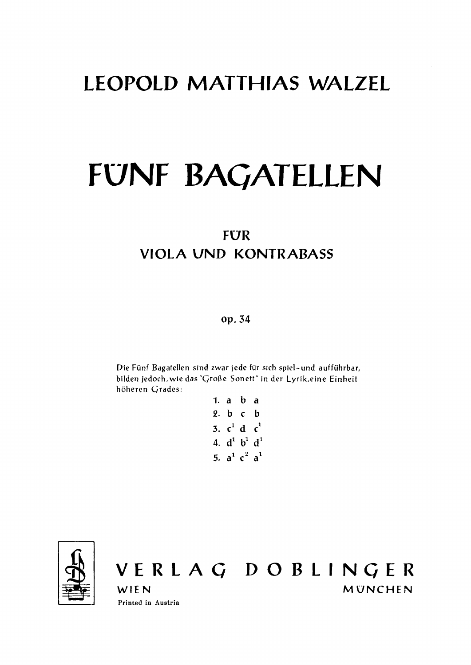## LEOPOLD MATTHIAS WALZEL

## FUNF BAGATELLEN

## **FUR VIOLA UND KONTRABASS**

op. 34

Die Fünf Bagatellen sind zwar jede für sich spiel- und aufführbar, bilden jedoch, wie das "Große Sonett" in der Lyrik, eine Einheit höheren Grades:

|    | 1. a                 | b            | a     |
|----|----------------------|--------------|-------|
| 2. | $\mathbf b$          | $\mathbf{c}$ | b     |
|    | 3. $c^1$ d $c^1$     |              |       |
|    | 4. $d^1$ $b^1$ $d^1$ |              |       |
|    | 5. $a^1$ $c^2$       |              | $a^1$ |



VERLAG DOBLINGER MUNCHEN WIEN Printed in Austria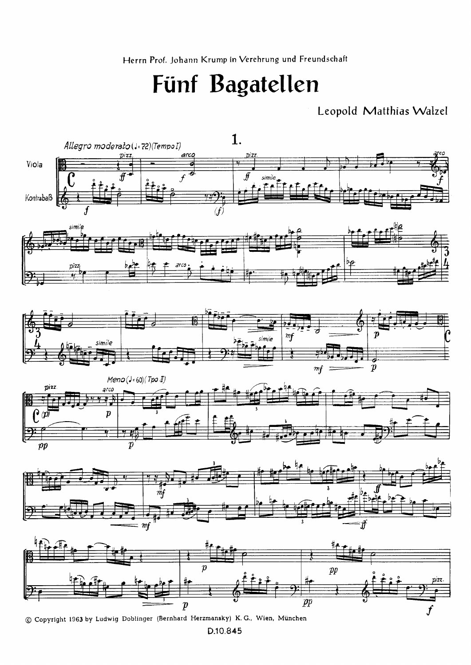Herrn Prof. Johann Krump in Verehrung und Freundschaft

## Fünf Bagatellen

Leopold Matthias Walzel



© Copyright 1963 by Ludwig Doblinger (Bernhard Herzmansky) K.G., Wien, München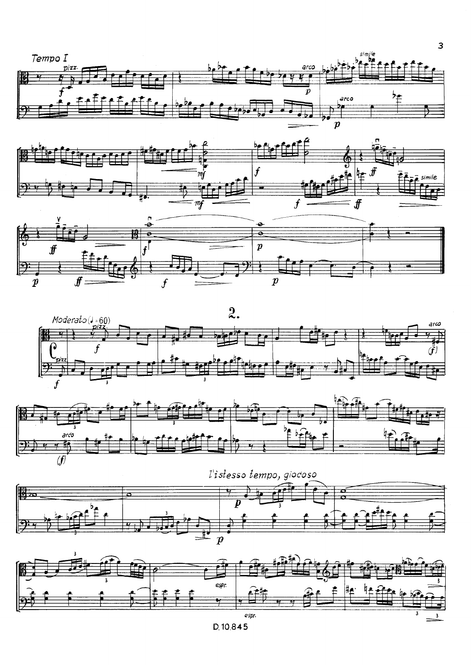











D.10,845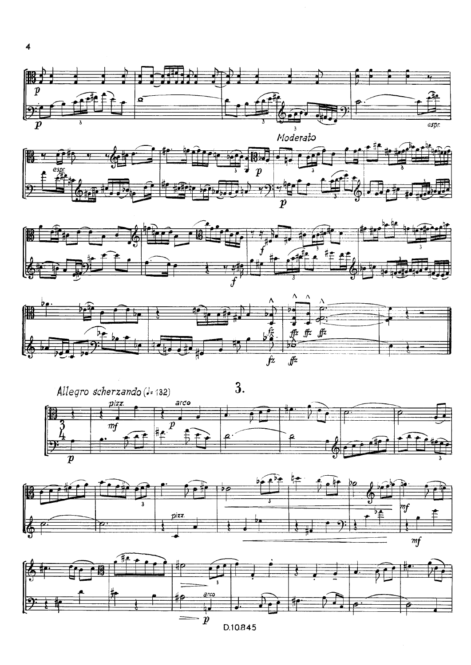











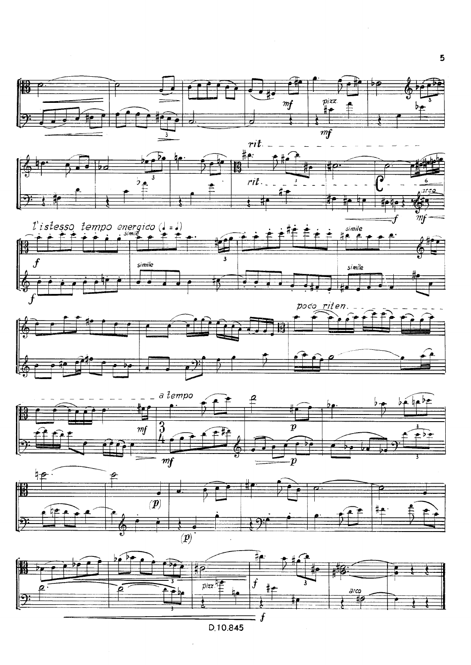

D.10.845

 $\overline{5}$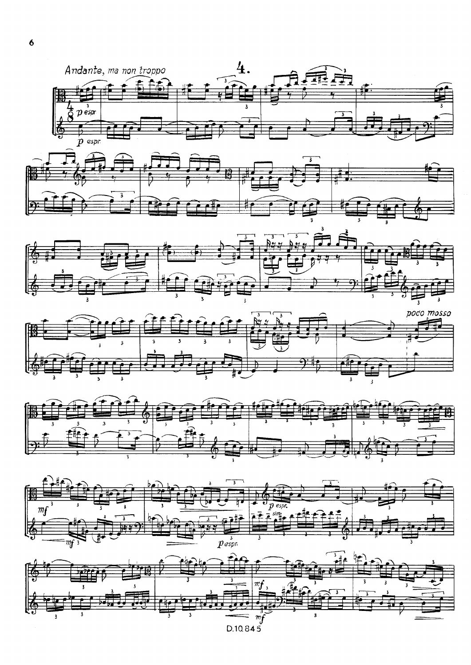

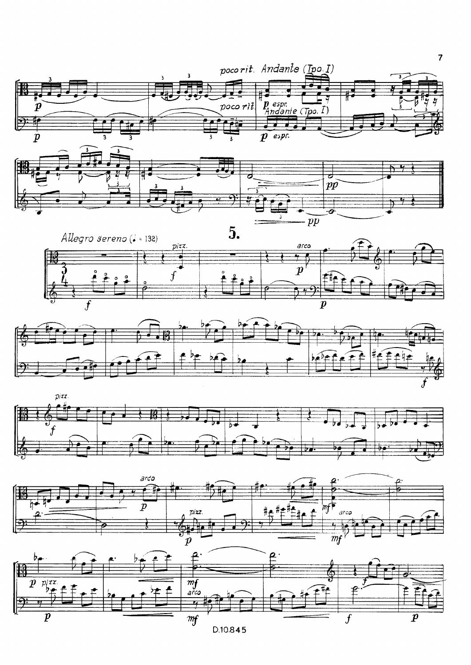